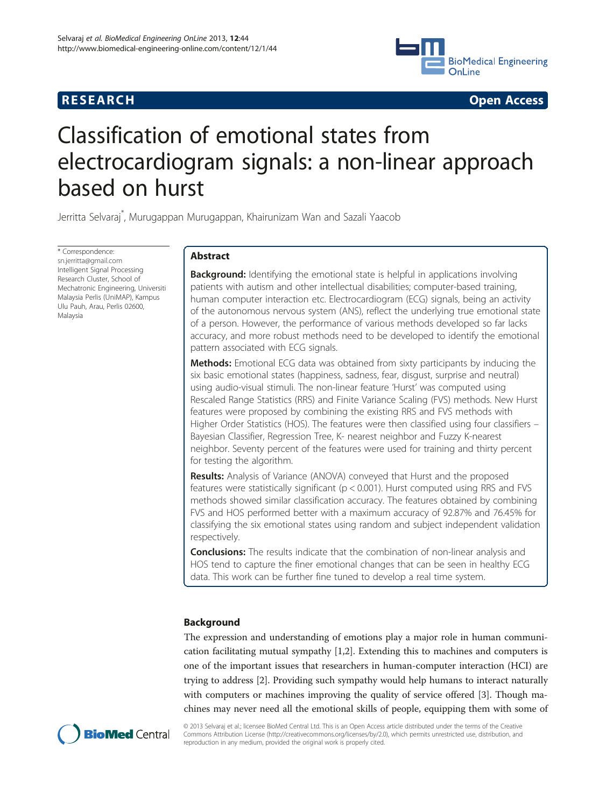# **RESEARCH RESEARCH CONSUMING ACCESS**



# Classification of emotional states from electrocardiogram signals: a non-linear approach based on hurst

Jerritta Selvaraj\* , Murugappan Murugappan, Khairunizam Wan and Sazali Yaacob

\* Correspondence: [sn.jerritta@gmail.com](mailto:sn.jerritta@gmail.com) Intelligent Signal Processing Research Cluster, School of Mechatronic Engineering, Universiti Malaysia Perlis (UniMAP), Kampus Ulu Pauh, Arau, Perlis 02600, Malaysia

# Abstract

**Background:** Identifying the emotional state is helpful in applications involving patients with autism and other intellectual disabilities; computer-based training, human computer interaction etc. Electrocardiogram (ECG) signals, being an activity of the autonomous nervous system (ANS), reflect the underlying true emotional state of a person. However, the performance of various methods developed so far lacks accuracy, and more robust methods need to be developed to identify the emotional pattern associated with ECG signals.

**Methods:** Emotional ECG data was obtained from sixty participants by inducing the six basic emotional states (happiness, sadness, fear, disgust, surprise and neutral) using audio-visual stimuli. The non-linear feature 'Hurst' was computed using Rescaled Range Statistics (RRS) and Finite Variance Scaling (FVS) methods. New Hurst features were proposed by combining the existing RRS and FVS methods with Higher Order Statistics (HOS). The features were then classified using four classifiers – Bayesian Classifier, Regression Tree, K- nearest neighbor and Fuzzy K-nearest neighbor. Seventy percent of the features were used for training and thirty percent for testing the algorithm.

**Results:** Analysis of Variance (ANOVA) conveyed that Hurst and the proposed features were statistically significant ( $p < 0.001$ ). Hurst computed using RRS and FVS methods showed similar classification accuracy. The features obtained by combining FVS and HOS performed better with a maximum accuracy of 92.87% and 76.45% for classifying the six emotional states using random and subject independent validation respectively.

**Conclusions:** The results indicate that the combination of non-linear analysis and HOS tend to capture the finer emotional changes that can be seen in healthy ECG data. This work can be further fine tuned to develop a real time system.

# Background

The expression and understanding of emotions play a major role in human communication facilitating mutual sympathy [[1,2\]](#page-16-0). Extending this to machines and computers is one of the important issues that researchers in human-computer interaction (HCI) are trying to address [\[2](#page-16-0)]. Providing such sympathy would help humans to interact naturally with computers or machines improving the quality of service offered [\[3](#page-16-0)]. Though machines may never need all the emotional skills of people, equipping them with some of



© 2013 Selvaraj et al.; licensee BioMed Central Ltd. This is an Open Access article distributed under the terms of the Creative Commons Attribution License [\(http://creativecommons.org/licenses/by/2.0\)](http://creativecommons.org/licenses/by/2.0), which permits unrestricted use, distribution, and reproduction in any medium, provided the original work is properly cited.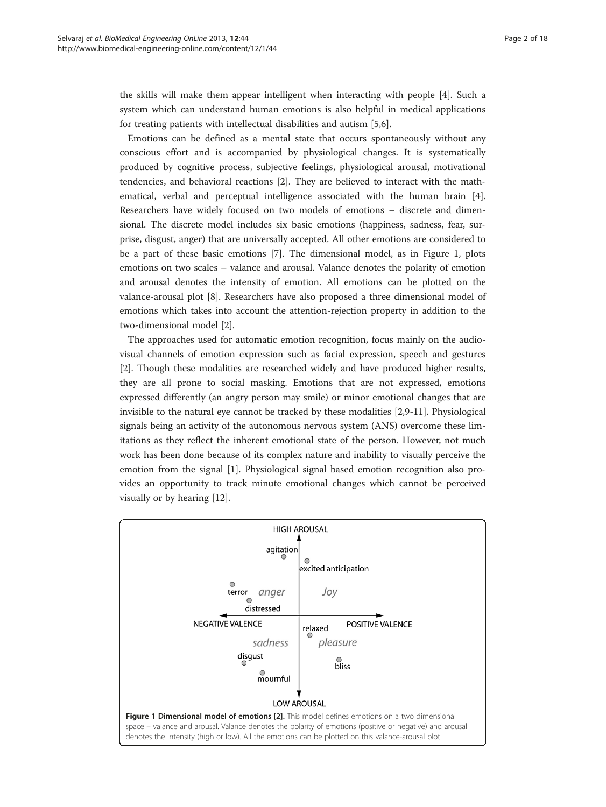<span id="page-1-0"></span>the skills will make them appear intelligent when interacting with people [[4\]](#page-16-0). Such a system which can understand human emotions is also helpful in medical applications for treating patients with intellectual disabilities and autism [[5,6\]](#page-16-0).

Emotions can be defined as a mental state that occurs spontaneously without any conscious effort and is accompanied by physiological changes. It is systematically produced by cognitive process, subjective feelings, physiological arousal, motivational tendencies, and behavioral reactions [[2](#page-16-0)]. They are believed to interact with the mathematical, verbal and perceptual intelligence associated with the human brain [\[4](#page-16-0)]. Researchers have widely focused on two models of emotions – discrete and dimensional. The discrete model includes six basic emotions (happiness, sadness, fear, surprise, disgust, anger) that are universally accepted. All other emotions are considered to be a part of these basic emotions [\[7](#page-16-0)]. The dimensional model, as in Figure 1, plots emotions on two scales – valance and arousal. Valance denotes the polarity of emotion and arousal denotes the intensity of emotion. All emotions can be plotted on the valance-arousal plot [[8\]](#page-16-0). Researchers have also proposed a three dimensional model of emotions which takes into account the attention-rejection property in addition to the two-dimensional model [\[2](#page-16-0)].

The approaches used for automatic emotion recognition, focus mainly on the audiovisual channels of emotion expression such as facial expression, speech and gestures [[2\]](#page-16-0). Though these modalities are researched widely and have produced higher results, they are all prone to social masking. Emotions that are not expressed, emotions expressed differently (an angry person may smile) or minor emotional changes that are invisible to the natural eye cannot be tracked by these modalities [[2,9-11](#page-16-0)]. Physiological signals being an activity of the autonomous nervous system (ANS) overcome these limitations as they reflect the inherent emotional state of the person. However, not much work has been done because of its complex nature and inability to visually perceive the emotion from the signal [[1](#page-16-0)]. Physiological signal based emotion recognition also provides an opportunity to track minute emotional changes which cannot be perceived visually or by hearing [\[12](#page-16-0)].

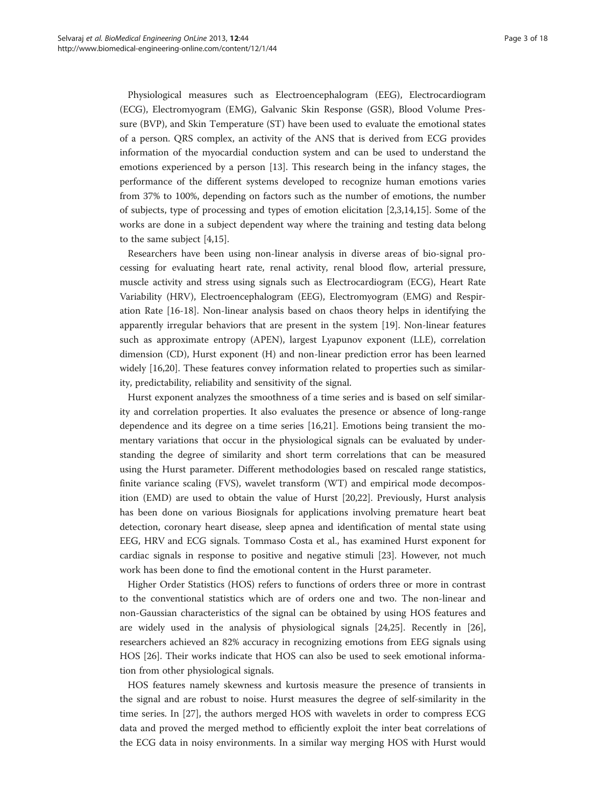Physiological measures such as Electroencephalogram (EEG), Electrocardiogram (ECG), Electromyogram (EMG), Galvanic Skin Response (GSR), Blood Volume Pressure (BVP), and Skin Temperature (ST) have been used to evaluate the emotional states of a person. QRS complex, an activity of the ANS that is derived from ECG provides information of the myocardial conduction system and can be used to understand the emotions experienced by a person [[13\]](#page-16-0). This research being in the infancy stages, the performance of the different systems developed to recognize human emotions varies from 37% to 100%, depending on factors such as the number of emotions, the number of subjects, type of processing and types of emotion elicitation [\[2,3,14,15\]](#page-16-0). Some of the works are done in a subject dependent way where the training and testing data belong to the same subject [\[4,15](#page-16-0)].

Researchers have been using non-linear analysis in diverse areas of bio-signal processing for evaluating heart rate, renal activity, renal blood flow, arterial pressure, muscle activity and stress using signals such as Electrocardiogram (ECG), Heart Rate Variability (HRV), Electroencephalogram (EEG), Electromyogram (EMG) and Respiration Rate [\[16-18](#page-16-0)]. Non-linear analysis based on chaos theory helps in identifying the apparently irregular behaviors that are present in the system [\[19](#page-16-0)]. Non-linear features such as approximate entropy (APEN), largest Lyapunov exponent (LLE), correlation dimension (CD), Hurst exponent (H) and non-linear prediction error has been learned widely [[16,20\]](#page-16-0). These features convey information related to properties such as similarity, predictability, reliability and sensitivity of the signal.

Hurst exponent analyzes the smoothness of a time series and is based on self similarity and correlation properties. It also evaluates the presence or absence of long-range dependence and its degree on a time series [[16](#page-16-0),[21](#page-16-0)]. Emotions being transient the momentary variations that occur in the physiological signals can be evaluated by understanding the degree of similarity and short term correlations that can be measured using the Hurst parameter. Different methodologies based on rescaled range statistics, finite variance scaling (FVS), wavelet transform (WT) and empirical mode decomposition (EMD) are used to obtain the value of Hurst [\[20,22](#page-16-0)]. Previously, Hurst analysis has been done on various Biosignals for applications involving premature heart beat detection, coronary heart disease, sleep apnea and identification of mental state using EEG, HRV and ECG signals. Tommaso Costa et al., has examined Hurst exponent for cardiac signals in response to positive and negative stimuli [[23\]](#page-16-0). However, not much work has been done to find the emotional content in the Hurst parameter.

Higher Order Statistics (HOS) refers to functions of orders three or more in contrast to the conventional statistics which are of orders one and two. The non-linear and non-Gaussian characteristics of the signal can be obtained by using HOS features and are widely used in the analysis of physiological signals [[24,25](#page-16-0)]. Recently in [[26](#page-17-0)], researchers achieved an 82% accuracy in recognizing emotions from EEG signals using HOS [\[26](#page-17-0)]. Their works indicate that HOS can also be used to seek emotional information from other physiological signals.

HOS features namely skewness and kurtosis measure the presence of transients in the signal and are robust to noise. Hurst measures the degree of self-similarity in the time series. In [[27](#page-17-0)], the authors merged HOS with wavelets in order to compress ECG data and proved the merged method to efficiently exploit the inter beat correlations of the ECG data in noisy environments. In a similar way merging HOS with Hurst would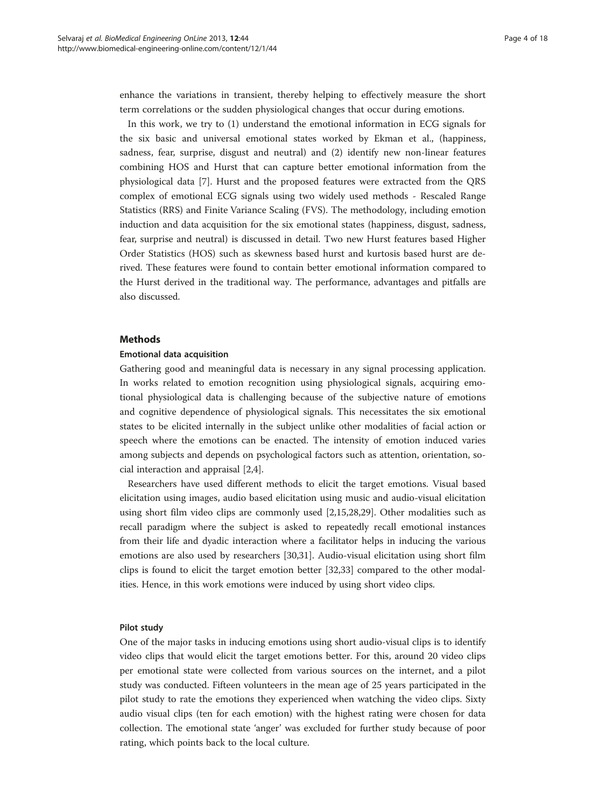enhance the variations in transient, thereby helping to effectively measure the short term correlations or the sudden physiological changes that occur during emotions.

In this work, we try to (1) understand the emotional information in ECG signals for the six basic and universal emotional states worked by Ekman et al., (happiness, sadness, fear, surprise, disgust and neutral) and (2) identify new non-linear features combining HOS and Hurst that can capture better emotional information from the physiological data [\[7](#page-16-0)]. Hurst and the proposed features were extracted from the QRS complex of emotional ECG signals using two widely used methods - Rescaled Range Statistics (RRS) and Finite Variance Scaling (FVS). The methodology, including emotion induction and data acquisition for the six emotional states (happiness, disgust, sadness, fear, surprise and neutral) is discussed in detail. Two new Hurst features based Higher Order Statistics (HOS) such as skewness based hurst and kurtosis based hurst are derived. These features were found to contain better emotional information compared to the Hurst derived in the traditional way. The performance, advantages and pitfalls are also discussed.

#### Methods

# Emotional data acquisition

Gathering good and meaningful data is necessary in any signal processing application. In works related to emotion recognition using physiological signals, acquiring emotional physiological data is challenging because of the subjective nature of emotions and cognitive dependence of physiological signals. This necessitates the six emotional states to be elicited internally in the subject unlike other modalities of facial action or speech where the emotions can be enacted. The intensity of emotion induced varies among subjects and depends on psychological factors such as attention, orientation, social interaction and appraisal [[2,4\]](#page-16-0).

Researchers have used different methods to elicit the target emotions. Visual based elicitation using images, audio based elicitation using music and audio-visual elicitation using short film video clips are commonly used [[2,15,](#page-16-0)[28,29\]](#page-17-0). Other modalities such as recall paradigm where the subject is asked to repeatedly recall emotional instances from their life and dyadic interaction where a facilitator helps in inducing the various emotions are also used by researchers [[30,31\]](#page-17-0). Audio-visual elicitation using short film clips is found to elicit the target emotion better [[32,33\]](#page-17-0) compared to the other modalities. Hence, in this work emotions were induced by using short video clips.

# Pilot study

One of the major tasks in inducing emotions using short audio-visual clips is to identify video clips that would elicit the target emotions better. For this, around 20 video clips per emotional state were collected from various sources on the internet, and a pilot study was conducted. Fifteen volunteers in the mean age of 25 years participated in the pilot study to rate the emotions they experienced when watching the video clips. Sixty audio visual clips (ten for each emotion) with the highest rating were chosen for data collection. The emotional state 'anger' was excluded for further study because of poor rating, which points back to the local culture.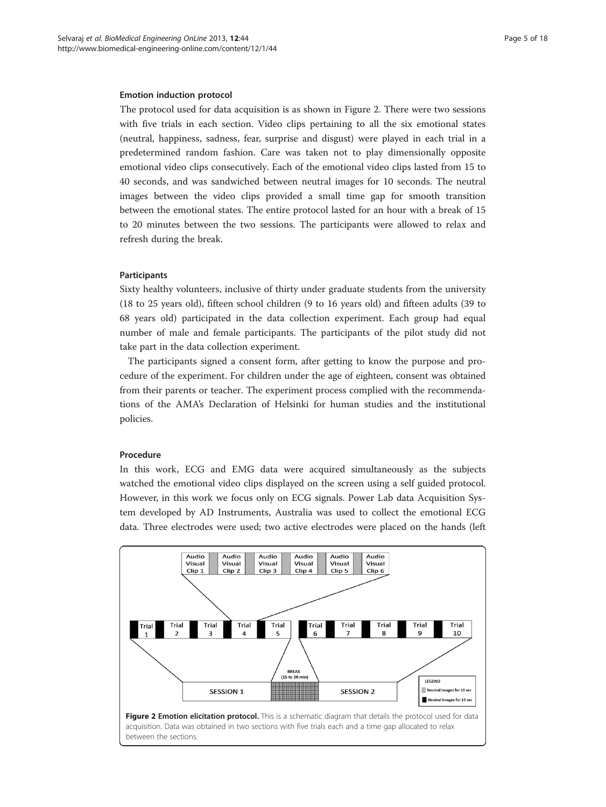#### Emotion induction protocol

The protocol used for data acquisition is as shown in Figure 2. There were two sessions with five trials in each section. Video clips pertaining to all the six emotional states (neutral, happiness, sadness, fear, surprise and disgust) were played in each trial in a predetermined random fashion. Care was taken not to play dimensionally opposite emotional video clips consecutively. Each of the emotional video clips lasted from 15 to 40 seconds, and was sandwiched between neutral images for 10 seconds. The neutral images between the video clips provided a small time gap for smooth transition between the emotional states. The entire protocol lasted for an hour with a break of 15 to 20 minutes between the two sessions. The participants were allowed to relax and refresh during the break.

# Participants

Sixty healthy volunteers, inclusive of thirty under graduate students from the university (18 to 25 years old), fifteen school children (9 to 16 years old) and fifteen adults (39 to 68 years old) participated in the data collection experiment. Each group had equal number of male and female participants. The participants of the pilot study did not take part in the data collection experiment.

The participants signed a consent form, after getting to know the purpose and procedure of the experiment. For children under the age of eighteen, consent was obtained from their parents or teacher. The experiment process complied with the recommendations of the AMA's Declaration of Helsinki for human studies and the institutional policies.

# Procedure

In this work, ECG and EMG data were acquired simultaneously as the subjects watched the emotional video clips displayed on the screen using a self guided protocol. However, in this work we focus only on ECG signals. Power Lab data Acquisition System developed by AD Instruments, Australia was used to collect the emotional ECG data. Three electrodes were used; two active electrodes were placed on the hands (left

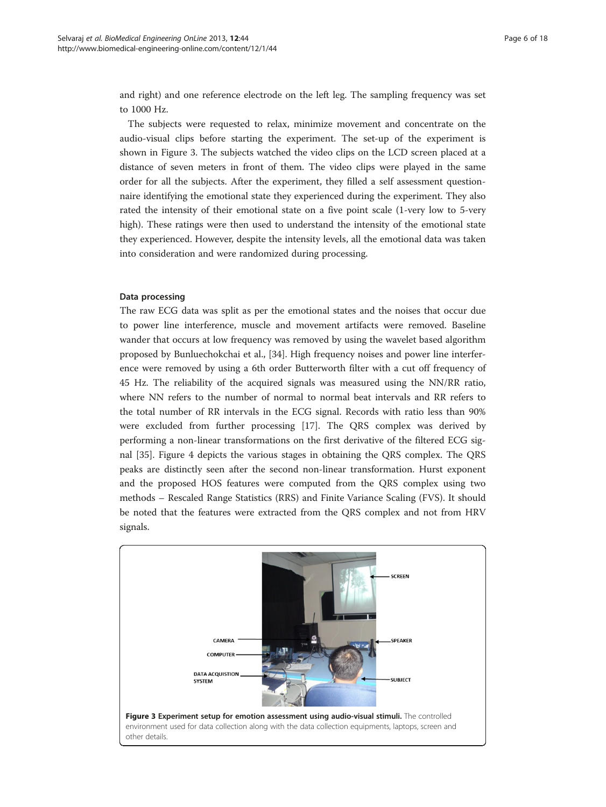and right) and one reference electrode on the left leg. The sampling frequency was set to 1000 Hz.

The subjects were requested to relax, minimize movement and concentrate on the audio-visual clips before starting the experiment. The set-up of the experiment is shown in Figure 3. The subjects watched the video clips on the LCD screen placed at a distance of seven meters in front of them. The video clips were played in the same order for all the subjects. After the experiment, they filled a self assessment questionnaire identifying the emotional state they experienced during the experiment. They also rated the intensity of their emotional state on a five point scale (1-very low to 5-very high). These ratings were then used to understand the intensity of the emotional state they experienced. However, despite the intensity levels, all the emotional data was taken into consideration and were randomized during processing.

# Data processing

The raw ECG data was split as per the emotional states and the noises that occur due to power line interference, muscle and movement artifacts were removed. Baseline wander that occurs at low frequency was removed by using the wavelet based algorithm proposed by Bunluechokchai et al., [\[34](#page-17-0)]. High frequency noises and power line interference were removed by using a 6th order Butterworth filter with a cut off frequency of 45 Hz. The reliability of the acquired signals was measured using the NN/RR ratio, where NN refers to the number of normal to normal beat intervals and RR refers to the total number of RR intervals in the ECG signal. Records with ratio less than 90% were excluded from further processing [[17](#page-16-0)]. The QRS complex was derived by performing a non-linear transformations on the first derivative of the filtered ECG signal [[35\]](#page-17-0). Figure [4](#page-6-0) depicts the various stages in obtaining the QRS complex. The QRS peaks are distinctly seen after the second non-linear transformation. Hurst exponent and the proposed HOS features were computed from the QRS complex using two methods – Rescaled Range Statistics (RRS) and Finite Variance Scaling (FVS). It should be noted that the features were extracted from the QRS complex and not from HRV signals.

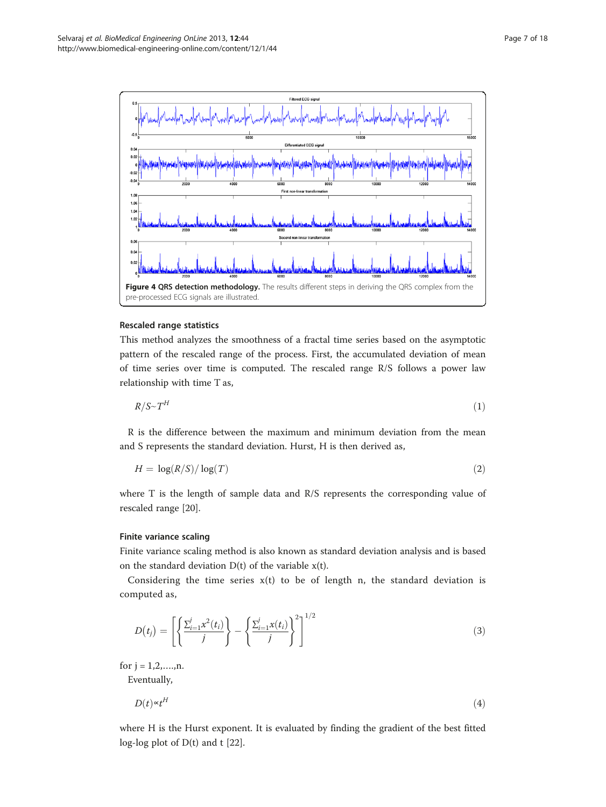<span id="page-6-0"></span>

# Rescaled range statistics

This method analyzes the smoothness of a fractal time series based on the asymptotic pattern of the rescaled range of the process. First, the accumulated deviation of mean of time series over time is computed. The rescaled range R/S follows a power law relationship with time T as,

$$
R/S \sim T^H \tag{1}
$$

R is the difference between the maximum and minimum deviation from the mean and S represents the standard deviation. Hurst, H is then derived as,

$$
H = \log(R/S)/\log(T) \tag{2}
$$

where T is the length of sample data and R/S represents the corresponding value of rescaled range [\[20\]](#page-16-0).

# Finite variance scaling

Finite variance scaling method is also known as standard deviation analysis and is based on the standard deviation  $D(t)$  of the variable  $x(t)$ .

Considering the time series  $x(t)$  to be of length n, the standard deviation is computed as,

$$
D(t_j) = \left[ \left\{ \frac{\sum_{i=1}^{j} x^2(t_i)}{j} \right\} - \left\{ \frac{\sum_{i=1}^{j} x(t_i)}{j} \right\}^2 \right]^{1/2}
$$
(3)

for  $j = 1, 2, ..., n$ .

Eventually,

$$
D(t) \propto t^H \tag{4}
$$

where H is the Hurst exponent. It is evaluated by finding the gradient of the best fitted log-log plot of D(t) and t [[22\]](#page-16-0).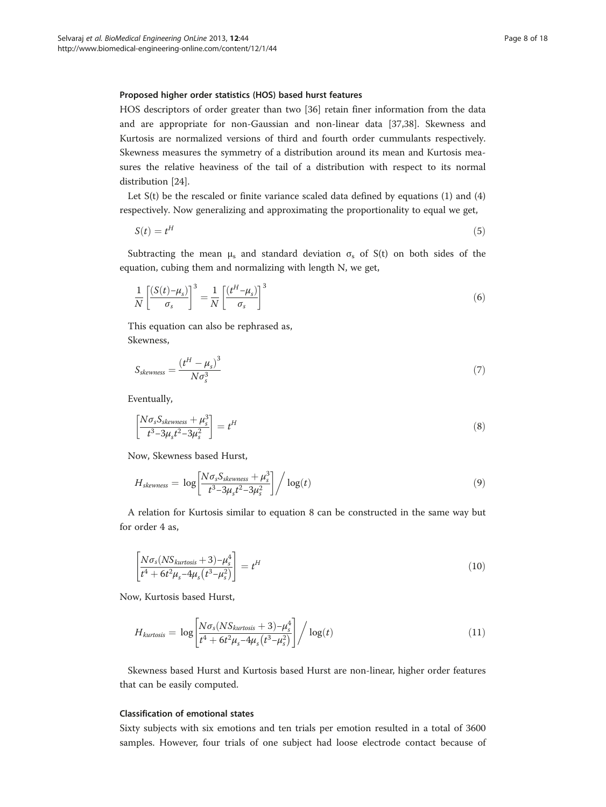#### Proposed higher order statistics (HOS) based hurst features

HOS descriptors of order greater than two [[36](#page-17-0)] retain finer information from the data and are appropriate for non-Gaussian and non-linear data [\[37,38\]](#page-17-0). Skewness and Kurtosis are normalized versions of third and fourth order cummulants respectively. Skewness measures the symmetry of a distribution around its mean and Kurtosis measures the relative heaviness of the tail of a distribution with respect to its normal distribution [\[24](#page-16-0)].

Let  $S(t)$  be the rescaled or finite variance scaled data defined by equations ([1\)](#page-6-0) and ([4](#page-6-0)) respectively. Now generalizing and approximating the proportionality to equal we get,

$$
S(t) = t^H \tag{5}
$$

Subtracting the mean  $\mu_s$  and standard deviation  $\sigma_s$  of S(t) on both sides of the equation, cubing them and normalizing with length N, we get,

$$
\frac{1}{N} \left[ \frac{(S(t) - \mu_s)}{\sigma_s} \right]^3 = \frac{1}{N} \left[ \frac{(t^H - \mu_s)}{\sigma_s} \right]^3 \tag{6}
$$

This equation can also be rephrased as, Skewness,

$$
S_{skewness} = \frac{\left(t^H - \mu_s\right)^3}{N\sigma_s^3} \tag{7}
$$

Eventually,

$$
\left[\frac{N\sigma_s S_{skewness} + \mu_s^3}{t^3 - 3\mu_s t^2 - 3\mu_s^2}\right] = t^H
$$
\n(8)

Now, Skewness based Hurst,

$$
H_{skewness} = \log \left[ \frac{N \sigma_s S_{skewness} + \mu_s^3}{t^3 - 3\mu_s t^2 - 3\mu_s^2} \right] / \log(t)
$$
\n(9)

A relation for Kurtosis similar to equation 8 can be constructed in the same way but for order 4 as,

$$
\left[\frac{N\sigma_s (NS_{kurtosis} + 3) - \mu_s^4}{t^4 + 6t^2\mu_s - 4\mu_s (t^3 - \mu_s^2)}\right] = t^H
$$
\n(10)

Now, Kurtosis based Hurst,

$$
H_{kurtosis} = \log \left[ \frac{N \sigma_s (N S_{kurtosis} + 3) - \mu_s^4}{t^4 + 6t^2 \mu_s - 4\mu_s (t^3 - \mu_s^2)} \right] / \log(t)
$$
\n(11)

Skewness based Hurst and Kurtosis based Hurst are non-linear, higher order features that can be easily computed.

# Classification of emotional states

Sixty subjects with six emotions and ten trials per emotion resulted in a total of 3600 samples. However, four trials of one subject had loose electrode contact because of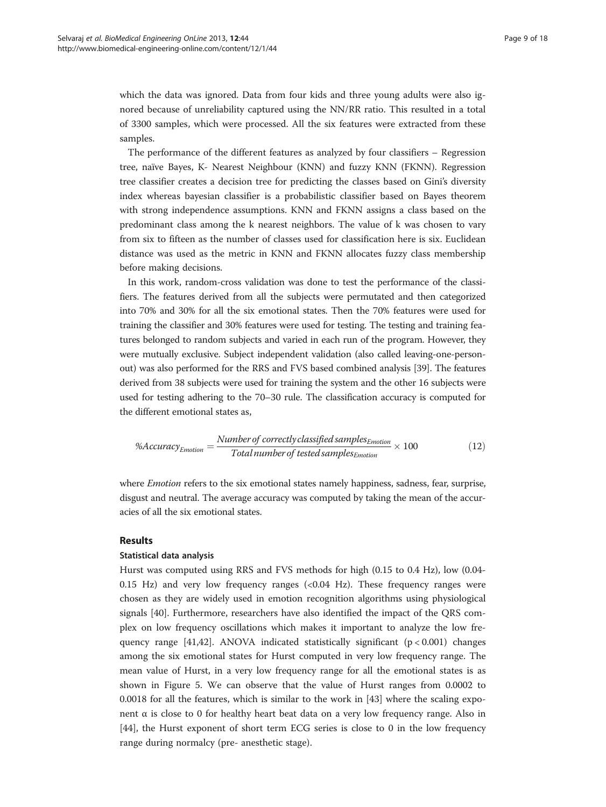which the data was ignored. Data from four kids and three young adults were also ignored because of unreliability captured using the NN/RR ratio. This resulted in a total of 3300 samples, which were processed. All the six features were extracted from these samples.

The performance of the different features as analyzed by four classifiers – Regression tree, naïve Bayes, K- Nearest Neighbour (KNN) and fuzzy KNN (FKNN). Regression tree classifier creates a decision tree for predicting the classes based on Gini's diversity index whereas bayesian classifier is a probabilistic classifier based on Bayes theorem with strong independence assumptions. KNN and FKNN assigns a class based on the predominant class among the k nearest neighbors. The value of k was chosen to vary from six to fifteen as the number of classes used for classification here is six. Euclidean distance was used as the metric in KNN and FKNN allocates fuzzy class membership before making decisions.

In this work, random-cross validation was done to test the performance of the classifiers. The features derived from all the subjects were permutated and then categorized into 70% and 30% for all the six emotional states. Then the 70% features were used for training the classifier and 30% features were used for testing. The testing and training features belonged to random subjects and varied in each run of the program. However, they were mutually exclusive. Subject independent validation (also called leaving-one-personout) was also performed for the RRS and FVS based combined analysis [[39](#page-17-0)]. The features derived from 38 subjects were used for training the system and the other 16 subjects were used for testing adhering to the 70–30 rule. The classification accuracy is computed for the different emotional states as,

$$
%Accuracy_{Emotion} = \frac{Number of correctly classified samples_{Emotion}}{Total number of tested samples_{Emotion}} \times 100
$$
 (12)

where *Emotion* refers to the six emotional states namely happiness, sadness, fear, surprise, disgust and neutral. The average accuracy was computed by taking the mean of the accuracies of all the six emotional states.

#### Results

#### Statistical data analysis

Hurst was computed using RRS and FVS methods for high (0.15 to 0.4 Hz), low (0.04- 0.15 Hz) and very low frequency ranges (<0.04 Hz). These frequency ranges were chosen as they are widely used in emotion recognition algorithms using physiological signals [\[40](#page-17-0)]. Furthermore, researchers have also identified the impact of the QRS complex on low frequency oscillations which makes it important to analyze the low frequency range  $[41,42]$  $[41,42]$  $[41,42]$ . ANOVA indicated statistically significant ( $p < 0.001$ ) changes among the six emotional states for Hurst computed in very low frequency range. The mean value of Hurst, in a very low frequency range for all the emotional states is as shown in Figure [5.](#page-9-0) We can observe that the value of Hurst ranges from 0.0002 to 0.0018 for all the features, which is similar to the work in [\[43\]](#page-17-0) where the scaling exponent  $α$  is close to 0 for healthy heart beat data on a very low frequency range. Also in [[44\]](#page-17-0), the Hurst exponent of short term ECG series is close to 0 in the low frequency range during normalcy (pre- anesthetic stage).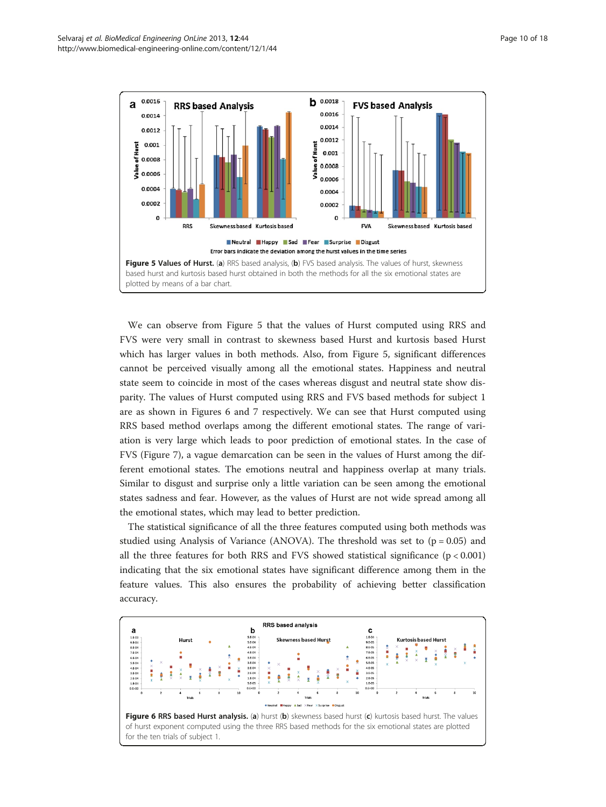<span id="page-9-0"></span>

We can observe from Figure 5 that the values of Hurst computed using RRS and FVS were very small in contrast to skewness based Hurst and kurtosis based Hurst which has larger values in both methods. Also, from Figure 5, significant differences cannot be perceived visually among all the emotional states. Happiness and neutral state seem to coincide in most of the cases whereas disgust and neutral state show disparity. The values of Hurst computed using RRS and FVS based methods for subject 1 are as shown in Figures 6 and [7](#page-10-0) respectively. We can see that Hurst computed using RRS based method overlaps among the different emotional states. The range of variation is very large which leads to poor prediction of emotional states. In the case of FVS (Figure [7](#page-10-0)), a vague demarcation can be seen in the values of Hurst among the different emotional states. The emotions neutral and happiness overlap at many trials. Similar to disgust and surprise only a little variation can be seen among the emotional states sadness and fear. However, as the values of Hurst are not wide spread among all the emotional states, which may lead to better prediction.

The statistical significance of all the three features computed using both methods was studied using Analysis of Variance (ANOVA). The threshold was set to  $(p = 0.05)$  and all the three features for both RRS and FVS showed statistical significance  $(p < 0.001)$ indicating that the six emotional states have significant difference among them in the feature values. This also ensures the probability of achieving better classification accuracy.

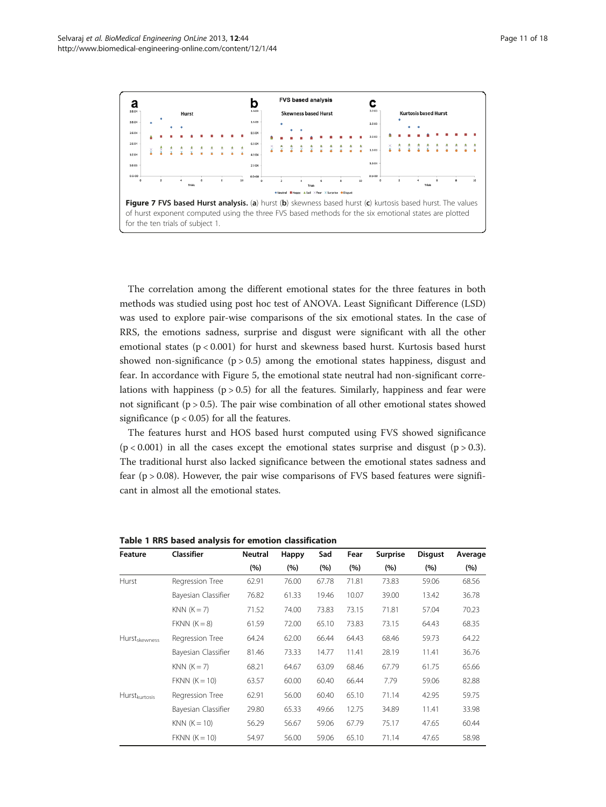<span id="page-10-0"></span>

The correlation among the different emotional states for the three features in both methods was studied using post hoc test of ANOVA. Least Significant Difference (LSD) was used to explore pair-wise comparisons of the six emotional states. In the case of RRS, the emotions sadness, surprise and disgust were significant with all the other emotional states  $(p < 0.001)$  for hurst and skewness based hurst. Kurtosis based hurst showed non-significance ( $p > 0.5$ ) among the emotional states happiness, disgust and fear. In accordance with Figure [5,](#page-9-0) the emotional state neutral had non-significant correlations with happiness ( $p > 0.5$ ) for all the features. Similarly, happiness and fear were not significant ( $p > 0.5$ ). The pair wise combination of all other emotional states showed significance ( $p < 0.05$ ) for all the features.

The features hurst and HOS based hurst computed using FVS showed significance  $(p < 0.001)$  in all the cases except the emotional states surprise and disgust  $(p > 0.3)$ . The traditional hurst also lacked significance between the emotional states sadness and fear ( $p > 0.08$ ). However, the pair wise comparisons of FVS based features were significant in almost all the emotional states.

| Feature                         | <b>Classifier</b>   | <b>Neutral</b> | Happy | Sad   | Fear  | Surprise | <b>Disqust</b> | Average |
|---------------------------------|---------------------|----------------|-------|-------|-------|----------|----------------|---------|
|                                 |                     | (%)            | (%)   | (%)   | (%)   | (%)      | (%)            | (%)     |
| Hurst                           | Regression Tree     | 62.91          | 76.00 | 67.78 | 71.81 | 73.83    | 59.06          | 68.56   |
|                                 | Bayesian Classifier | 76.82          | 61.33 | 19.46 | 10.07 | 39.00    | 13.42          | 36.78   |
|                                 | $KNN (K = 7)$       | 71.52          | 74.00 | 73.83 | 73.15 | 71.81    | 57.04          | 70.23   |
|                                 | $FKNN (K = 8)$      | 61.59          | 72.00 | 65.10 | 73.83 | 73.15    | 64.43          | 68.35   |
| $Hurst_{skewness}$              | Regression Tree     | 64.24          | 62.00 | 66.44 | 64.43 | 68.46    | 59.73          | 64.22   |
|                                 | Bayesian Classifier | 81.46          | 73.33 | 14.77 | 11.41 | 28.19    | 11.41          | 36.76   |
|                                 | $KNN (K = 7)$       | 68.21          | 64.67 | 63.09 | 68.46 | 67.79    | 61.75          | 65.66   |
|                                 | $FKNN (K = 10)$     | 63.57          | 60.00 | 60.40 | 66.44 | 7.79     | 59.06          | 82.88   |
| <b>Hurst<sub>kurtosis</sub></b> | Regression Tree     | 62.91          | 56.00 | 60.40 | 65.10 | 71.14    | 42.95          | 59.75   |
|                                 | Bayesian Classifier | 29.80          | 65.33 | 49.66 | 12.75 | 34.89    | 11.41          | 33.98   |
|                                 | KNN $(K = 10)$      | 56.29          | 56.67 | 59.06 | 67.79 | 75.17    | 47.65          | 60.44   |
|                                 | $FKNN (K = 10)$     | 54.97          | 56.00 | 59.06 | 65.10 | 71.14    | 47.65          | 58.98   |

Table 1 RRS based analysis for emotion classification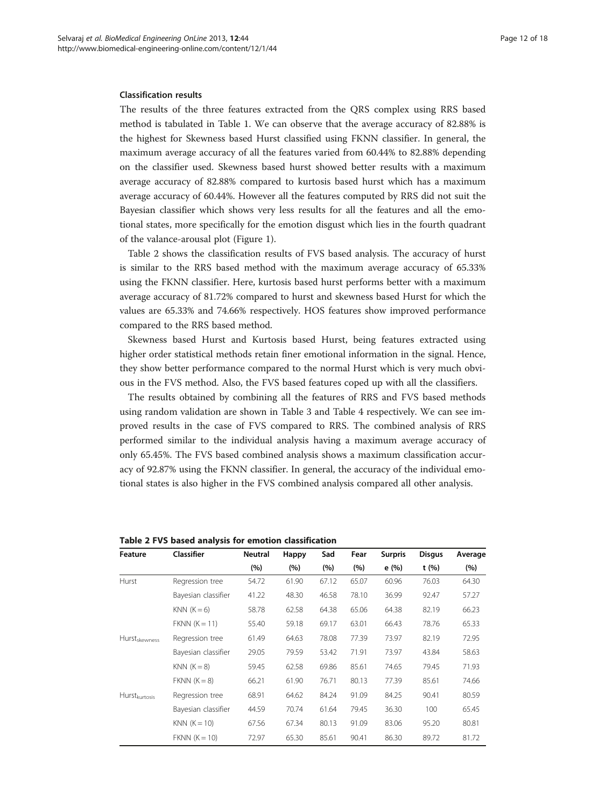#### Classification results

The results of the three features extracted from the QRS complex using RRS based method is tabulated in Table [1.](#page-10-0) We can observe that the average accuracy of 82.88% is the highest for Skewness based Hurst classified using FKNN classifier. In general, the maximum average accuracy of all the features varied from 60.44% to 82.88% depending on the classifier used. Skewness based hurst showed better results with a maximum average accuracy of 82.88% compared to kurtosis based hurst which has a maximum average accuracy of 60.44%. However all the features computed by RRS did not suit the Bayesian classifier which shows very less results for all the features and all the emotional states, more specifically for the emotion disgust which lies in the fourth quadrant of the valance-arousal plot (Figure [1](#page-1-0)).

Table 2 shows the classification results of FVS based analysis. The accuracy of hurst is similar to the RRS based method with the maximum average accuracy of 65.33% using the FKNN classifier. Here, kurtosis based hurst performs better with a maximum average accuracy of 81.72% compared to hurst and skewness based Hurst for which the values are 65.33% and 74.66% respectively. HOS features show improved performance compared to the RRS based method.

Skewness based Hurst and Kurtosis based Hurst, being features extracted using higher order statistical methods retain finer emotional information in the signal. Hence, they show better performance compared to the normal Hurst which is very much obvious in the FVS method. Also, the FVS based features coped up with all the classifiers.

The results obtained by combining all the features of RRS and FVS based methods using random validation are shown in Table [3](#page-12-0) and Table [4](#page-12-0) respectively. We can see improved results in the case of FVS compared to RRS. The combined analysis of RRS performed similar to the individual analysis having a maximum average accuracy of only 65.45%. The FVS based combined analysis shows a maximum classification accuracy of 92.87% using the FKNN classifier. In general, the accuracy of the individual emotional states is also higher in the FVS combined analysis compared all other analysis.

| Feature            | <b>Classifier</b>   | <b>Neutral</b> | Happy | Sad   | Fear  | <b>Surpris</b> | <b>Disgus</b> | Average |
|--------------------|---------------------|----------------|-------|-------|-------|----------------|---------------|---------|
|                    |                     | (%)            | (%)   | (%)   | (%)   | e (%)          | t (%)         | (%)     |
| Hurst              | Regression tree     | 54.72          | 61.90 | 67.12 | 65.07 | 60.96          | 76.03         | 64.30   |
|                    | Bayesian classifier | 41.22          | 48.30 | 46.58 | 78.10 | 36.99          | 92.47         | 57.27   |
|                    | KNN $(K=6)$         | 58.78          | 62.58 | 64.38 | 65.06 | 64.38          | 82.19         | 66.23   |
|                    | $FKNN (K = 11)$     | 55.40          | 59.18 | 69.17 | 63.01 | 66.43          | 78.76         | 65.33   |
| $Hurst_{skewness}$ | Regression tree     | 61.49          | 64.63 | 78.08 | 77.39 | 73.97          | 82.19         | 72.95   |
|                    | Bayesian classifier | 29.05          | 79.59 | 53.42 | 71.91 | 73.97          | 43.84         | 58.63   |
|                    | KNN $(K = 8)$       | 59.45          | 62.58 | 69.86 | 85.61 | 74.65          | 79.45         | 71.93   |
|                    | $FKNN (K = 8)$      | 66.21          | 61.90 | 76.71 | 80.13 | 77.39          | 85.61         | 74.66   |
| $Hurst_{kurtosis}$ | Regression tree     | 68.91          | 64.62 | 84.24 | 91.09 | 84.25          | 90.41         | 80.59   |
|                    | Bayesian classifier | 44.59          | 70.74 | 61.64 | 79.45 | 36.30          | 100           | 65.45   |
|                    | KNN $(K = 10)$      | 67.56          | 67.34 | 80.13 | 91.09 | 83.06          | 95.20         | 80.81   |
|                    | $FKNN (K = 10)$     | 72.97          | 65.30 | 85.61 | 90.41 | 86.30          | 89.72         | 81.72   |

Table 2 FVS based analysis for emotion classification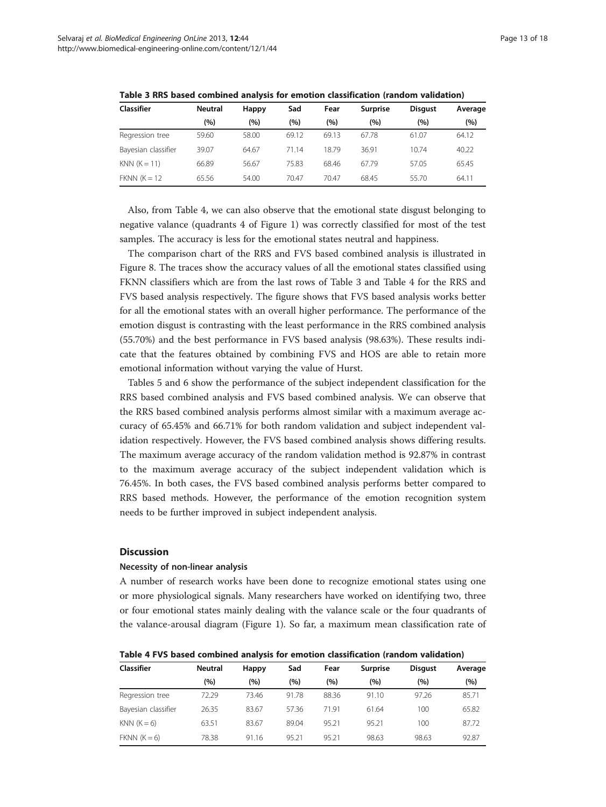| Classifier          | <b>Neutral</b> | Happy | Sad   | Fear  | Surprise | <b>Disaust</b> | Average |
|---------------------|----------------|-------|-------|-------|----------|----------------|---------|
|                     | (%)            | (%)   | (%)   | (%)   | (%)      | (%)            | (%)     |
| Regression tree     | 59.60          | 58.00 | 69.12 | 69.13 | 67.78    | 61.07          | 64.12   |
| Bayesian classifier | 39.07          | 64.67 | 71.14 | 18.79 | 36.91    | 10.74          | 40.22   |
| KNN $(K = 11)$      | 66.89          | 56.67 | 75.83 | 68.46 | 67.79    | 57.05          | 65.45   |
| $FKNN (K = 12)$     | 65.56          | 54.00 | 70.47 | 70.47 | 68.45    | 55.70          | 64.11   |

<span id="page-12-0"></span>Table 3 RRS based combined analysis for emotion classification (random validation)

Also, from Table 4, we can also observe that the emotional state disgust belonging to negative valance (quadrants 4 of Figure [1\)](#page-1-0) was correctly classified for most of the test samples. The accuracy is less for the emotional states neutral and happiness.

The comparison chart of the RRS and FVS based combined analysis is illustrated in Figure [8](#page-13-0). The traces show the accuracy values of all the emotional states classified using FKNN classifiers which are from the last rows of Table 3 and Table 4 for the RRS and FVS based analysis respectively. The figure shows that FVS based analysis works better for all the emotional states with an overall higher performance. The performance of the emotion disgust is contrasting with the least performance in the RRS combined analysis (55.70%) and the best performance in FVS based analysis (98.63%). These results indicate that the features obtained by combining FVS and HOS are able to retain more emotional information without varying the value of Hurst.

Tables [5](#page-13-0) and [6](#page-14-0) show the performance of the subject independent classification for the RRS based combined analysis and FVS based combined analysis. We can observe that the RRS based combined analysis performs almost similar with a maximum average accuracy of 65.45% and 66.71% for both random validation and subject independent validation respectively. However, the FVS based combined analysis shows differing results. The maximum average accuracy of the random validation method is 92.87% in contrast to the maximum average accuracy of the subject independent validation which is 76.45%. In both cases, the FVS based combined analysis performs better compared to RRS based methods. However, the performance of the emotion recognition system needs to be further improved in subject independent analysis.

#### Discussion

#### Necessity of non-linear analysis

A number of research works have been done to recognize emotional states using one or more physiological signals. Many researchers have worked on identifying two, three or four emotional states mainly dealing with the valance scale or the four quadrants of the valance-arousal diagram (Figure [1\)](#page-1-0). So far, a maximum mean classification rate of

Table 4 FVS based combined analysis for emotion classification (random validation)

| Classifier          | <b>Neutral</b> | Happy | Sad   | Fear  | Surprise | <b>Disqust</b> | Average |
|---------------------|----------------|-------|-------|-------|----------|----------------|---------|
|                     | (%)            | (%)   | (%)   | (%)   | (%)      | (%)            | (%)     |
| Regression tree     | 72.29          | 73.46 | 91.78 | 88.36 | 91.10    | 97.26          | 85.71   |
| Bayesian classifier | 26.35          | 83.67 | 57.36 | 71.91 | 61.64    | 100            | 65.82   |
| KNN $(K=6)$         | 63.51          | 83.67 | 89.04 | 95.21 | 95.21    | 100            | 87.72   |
| $FKNN (K = 6)$      | 78.38          | 91.16 | 95.21 | 95.21 | 98.63    | 98.63          | 92.87   |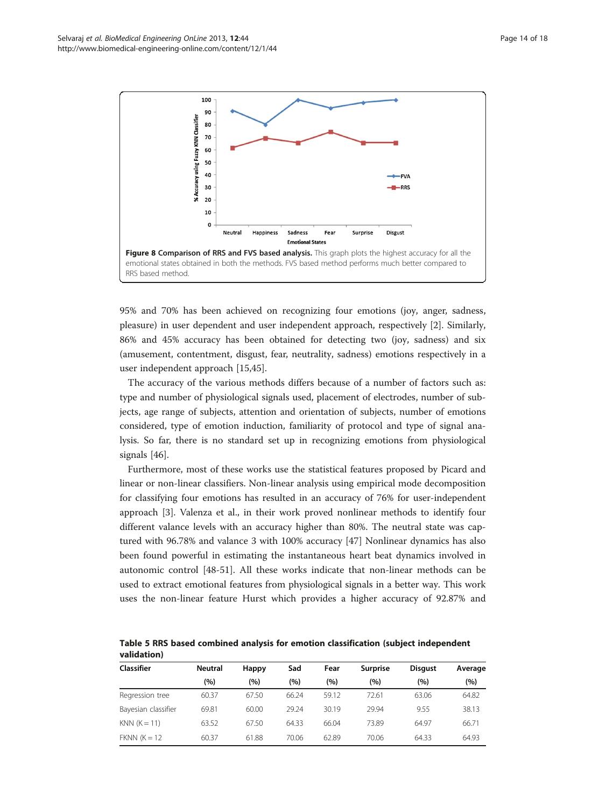<span id="page-13-0"></span>

95% and 70% has been achieved on recognizing four emotions (joy, anger, sadness, pleasure) in user dependent and user independent approach, respectively [\[2\]](#page-16-0). Similarly, 86% and 45% accuracy has been obtained for detecting two (joy, sadness) and six (amusement, contentment, disgust, fear, neutrality, sadness) emotions respectively in a user independent approach [\[15](#page-16-0)[,45](#page-17-0)].

The accuracy of the various methods differs because of a number of factors such as: type and number of physiological signals used, placement of electrodes, number of subjects, age range of subjects, attention and orientation of subjects, number of emotions considered, type of emotion induction, familiarity of protocol and type of signal analysis. So far, there is no standard set up in recognizing emotions from physiological signals [[46\]](#page-17-0).

Furthermore, most of these works use the statistical features proposed by Picard and linear or non-linear classifiers. Non-linear analysis using empirical mode decomposition for classifying four emotions has resulted in an accuracy of 76% for user-independent approach [[3](#page-16-0)]. Valenza et al., in their work proved nonlinear methods to identify four different valance levels with an accuracy higher than 80%. The neutral state was captured with 96.78% and valance 3 with 100% accuracy [[47\]](#page-17-0) Nonlinear dynamics has also been found powerful in estimating the instantaneous heart beat dynamics involved in autonomic control [[48-51\]](#page-17-0). All these works indicate that non-linear methods can be used to extract emotional features from physiological signals in a better way. This work uses the non-linear feature Hurst which provides a higher accuracy of 92.87% and

Table 5 RRS based combined analysis for emotion classification (subject independent validation)

| <b>Classifier</b>   | <b>Neutral</b> | Happy | Sad   | Fear  | Surprise | <b>Disqust</b> | Average |
|---------------------|----------------|-------|-------|-------|----------|----------------|---------|
|                     | (%)            | (%)   | (%)   | (%)   | (%)      | (%)            | (%)     |
| Regression tree     | 60.37          | 67.50 | 66.24 | 59.12 | 72.61    | 63.06          | 64.82   |
| Bayesian classifier | 69.81          | 60.00 | 29.24 | 30.19 | 29.94    | 9.55           | 38.13   |
| KNN $(K = 11)$      | 63.52          | 67.50 | 64.33 | 66.04 | 73.89    | 64.97          | 66.71   |
| $FKNN (K = 12)$     | 60.37          | 61.88 | 70.06 | 62.89 | 70.06    | 64.33          | 64.93   |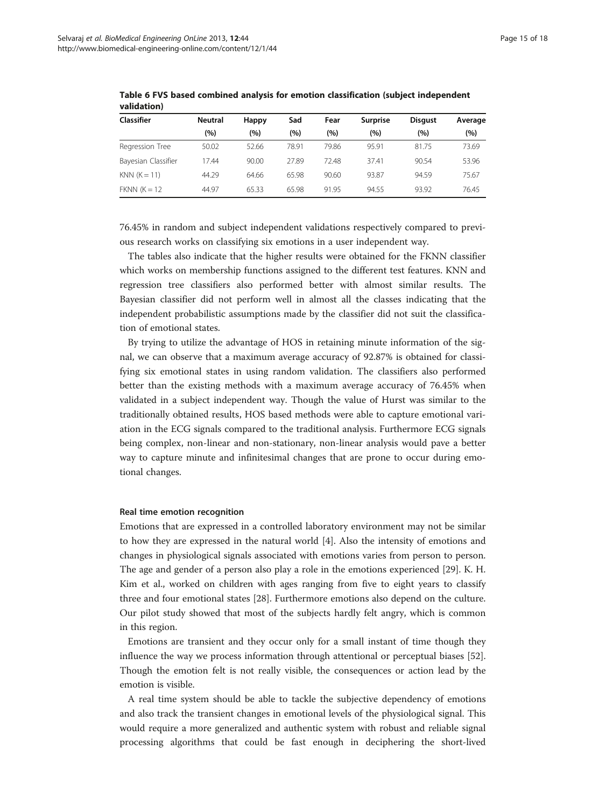| Classifier          | <b>Neutral</b> | Happy | Sad   | Fear  | Surprise | <b>Disqust</b> | Average |
|---------------------|----------------|-------|-------|-------|----------|----------------|---------|
|                     | (%)            | (%)   | (%)   | (%)   | (%)      | (%)            | (%)     |
| Regression Tree     | 50.02          | 52.66 | 78.91 | 79.86 | 95.91    | 81.75          | 73.69   |
| Bayesian Classifier | 17.44          | 90.00 | 27.89 | 72.48 | 37.41    | 90.54          | 53.96   |
| $KNN (K = 11)$      | 44.29          | 64.66 | 65.98 | 90.60 | 93.87    | 94.59          | 75.67   |
| $FKNN (K = 12)$     | 44.97          | 65.33 | 65.98 | 91.95 | 94.55    | 93.92          | 76.45   |

<span id="page-14-0"></span>Table 6 FVS based combined analysis for emotion classification (subject independent validation)

76.45% in random and subject independent validations respectively compared to previous research works on classifying six emotions in a user independent way.

The tables also indicate that the higher results were obtained for the FKNN classifier which works on membership functions assigned to the different test features. KNN and regression tree classifiers also performed better with almost similar results. The Bayesian classifier did not perform well in almost all the classes indicating that the independent probabilistic assumptions made by the classifier did not suit the classification of emotional states.

By trying to utilize the advantage of HOS in retaining minute information of the signal, we can observe that a maximum average accuracy of 92.87% is obtained for classifying six emotional states in using random validation. The classifiers also performed better than the existing methods with a maximum average accuracy of 76.45% when validated in a subject independent way. Though the value of Hurst was similar to the traditionally obtained results, HOS based methods were able to capture emotional variation in the ECG signals compared to the traditional analysis. Furthermore ECG signals being complex, non-linear and non-stationary, non-linear analysis would pave a better way to capture minute and infinitesimal changes that are prone to occur during emotional changes.

#### Real time emotion recognition

Emotions that are expressed in a controlled laboratory environment may not be similar to how they are expressed in the natural world [[4\]](#page-16-0). Also the intensity of emotions and changes in physiological signals associated with emotions varies from person to person. The age and gender of a person also play a role in the emotions experienced [\[29\]](#page-17-0). K. H. Kim et al., worked on children with ages ranging from five to eight years to classify three and four emotional states [\[28\]](#page-17-0). Furthermore emotions also depend on the culture. Our pilot study showed that most of the subjects hardly felt angry, which is common in this region.

Emotions are transient and they occur only for a small instant of time though they influence the way we process information through attentional or perceptual biases [[52](#page-17-0)]. Though the emotion felt is not really visible, the consequences or action lead by the emotion is visible.

A real time system should be able to tackle the subjective dependency of emotions and also track the transient changes in emotional levels of the physiological signal. This would require a more generalized and authentic system with robust and reliable signal processing algorithms that could be fast enough in deciphering the short-lived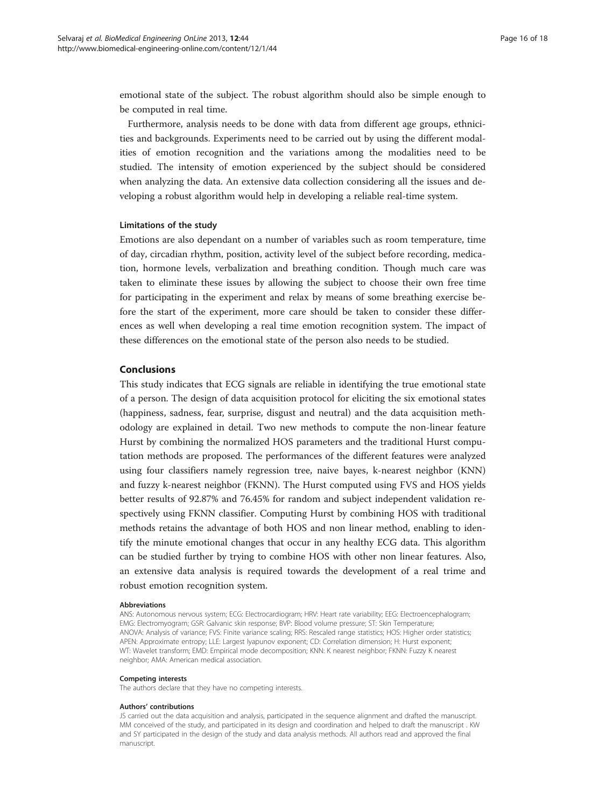emotional state of the subject. The robust algorithm should also be simple enough to be computed in real time.

Furthermore, analysis needs to be done with data from different age groups, ethnicities and backgrounds. Experiments need to be carried out by using the different modalities of emotion recognition and the variations among the modalities need to be studied. The intensity of emotion experienced by the subject should be considered when analyzing the data. An extensive data collection considering all the issues and developing a robust algorithm would help in developing a reliable real-time system.

#### Limitations of the study

Emotions are also dependant on a number of variables such as room temperature, time of day, circadian rhythm, position, activity level of the subject before recording, medication, hormone levels, verbalization and breathing condition. Though much care was taken to eliminate these issues by allowing the subject to choose their own free time for participating in the experiment and relax by means of some breathing exercise before the start of the experiment, more care should be taken to consider these differences as well when developing a real time emotion recognition system. The impact of these differences on the emotional state of the person also needs to be studied.

# Conclusions

This study indicates that ECG signals are reliable in identifying the true emotional state of a person. The design of data acquisition protocol for eliciting the six emotional states (happiness, sadness, fear, surprise, disgust and neutral) and the data acquisition methodology are explained in detail. Two new methods to compute the non-linear feature Hurst by combining the normalized HOS parameters and the traditional Hurst computation methods are proposed. The performances of the different features were analyzed using four classifiers namely regression tree, naive bayes, k-nearest neighbor (KNN) and fuzzy k-nearest neighbor (FKNN). The Hurst computed using FVS and HOS yields better results of 92.87% and 76.45% for random and subject independent validation respectively using FKNN classifier. Computing Hurst by combining HOS with traditional methods retains the advantage of both HOS and non linear method, enabling to identify the minute emotional changes that occur in any healthy ECG data. This algorithm can be studied further by trying to combine HOS with other non linear features. Also, an extensive data analysis is required towards the development of a real trime and robust emotion recognition system.

#### Abbreviations

ANS: Autonomous nervous system; ECG: Electrocardiogram; HRV: Heart rate variability; EEG: Electroencephalogram; EMG: Electromyogram; GSR: Galvanic skin response; BVP: Blood volume pressure; ST: Skin Temperature; ANOVA: Analysis of variance; FVS: Finite variance scaling; RRS: Rescaled range statistics; HOS: Higher order statistics; APEN: Approximate entropy; LLE: Largest lyapunov exponent; CD: Correlation dimension; H: Hurst exponent; WT: Wavelet transform; EMD: Empirical mode decomposition; KNN: K nearest neighbor; FKNN: Fuzzy K nearest neighbor; AMA: American medical association.

#### Competing interests

The authors declare that they have no competing interests.

#### Authors' contributions

JS carried out the data acquisition and analysis, participated in the sequence alignment and drafted the manuscript. MM conceived of the study, and participated in its design and coordination and helped to draft the manuscript . KW and SY participated in the design of the study and data analysis methods. All authors read and approved the final manuscript.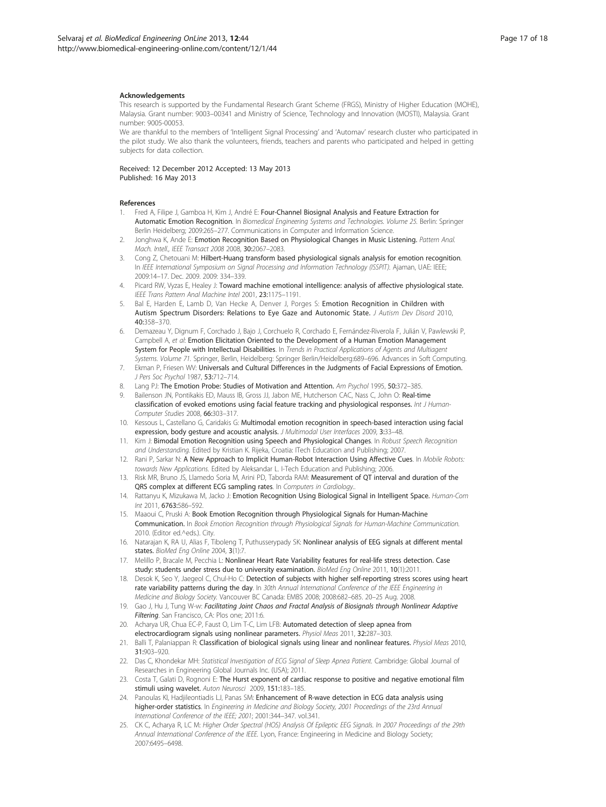#### <span id="page-16-0"></span>Acknowledgements

This research is supported by the Fundamental Research Grant Scheme (FRGS), Ministry of Higher Education (MOHE), Malaysia. Grant number: 9003–00341 and Ministry of Science, Technology and Innovation (MOSTI), Malaysia. Grant number: 9005-00053.

We are thankful to the members of 'Intelligent Signal Processing' and 'Automav' research cluster who participated in the pilot study. We also thank the volunteers, friends, teachers and parents who participated and helped in getting subjects for data collection.

Received: 12 December 2012 Accepted: 13 May 2013 Published: 16 May 2013

#### References

- Fred A, Filipe J, Gamboa H, Kim J, André E: Four-Channel Biosignal Analysis and Feature Extraction for Automatic Emotion Recognition. In Biomedical Engineering Systems and Technologies. Volume 25. Berlin: Springer Berlin Heidelberg; 2009:265–277. Communications in Computer and Information Science.
- 2. Jonghwa K, Ande E: Emotion Recognition Based on Physiological Changes in Music Listening. Pattern Anal. Mach. Intell., IEEE Transact 2008 2008, 30:2067–2083.
- Cong Z, Chetouani M: Hilbert-Huang transform based physiological signals analysis for emotion recognition. In IEEE International Symposium on Signal Processing and Information Technology (ISSPIT). Ajaman, UAE: IEEE; 2009:14–17. Dec. 2009. 2009: 334–339.
- Picard RW, Vyzas E, Healey J: Toward machine emotional intelligence: analysis of affective physiological state. IEEE Trans Pattern Anal Machine Intel 2001, 23:1175–1191.
- Bal E, Harden E, Lamb D, Van Hecke A, Denver J, Porges S: Emotion Recognition in Children with Autism Spectrum Disorders: Relations to Eye Gaze and Autonomic State. J Autism Dev Disord 2010, 40:358–370.
- 6. Demazeau Y, Dignum F, Corchado J, Bajo J, Corchuelo R, Corchado E, Fernández-Riverola F, Julián V, Pawlewski P, Campbell A, et al: Emotion Elicitation Oriented to the Development of a Human Emotion Management System for People with Intellectual Disabilities. In Trends in Practical Applications of Agents and Multiagent Systems. Volume 71. Springer, Berlin, Heidelberg: Springer Berlin/Heidelberg:689–696. Advances in Soft Computing.
- 7. Ekman P, Friesen WV: Universals and Cultural Differences in the Judgments of Facial Expressions of Emotion. J Pers Soc Psychol 1987, 53:712–714.
- 8. Lang PJ: The Emotion Probe: Studies of Motivation and Attention. Am Psychol 1995, 50:372-385.
- 9. Bailenson JN, Pontikakis ED, Mauss IB, Gross JJ, Jabon ME, Hutcherson CAC, Nass C, John O: Real-time classification of evoked emotions using facial feature tracking and physiological responses. Int J Human-Computer Studies 2008, 66:303–317.
- 10. Kessous L, Castellano G, Caridakis G: Multimodal emotion recognition in speech-based interaction using facial expression, body gesture and acoustic analysis. J Multimodal User Interfaces 2009, 3:33-48.
- 11. Kim J: Bimodal Emotion Recognition using Speech and Physiological Changes. In Robust Speech Recognition and Understanding. Edited by Kristian K. Rijeka, Croatia: ITech Education and Publishing; 2007.
- 12. Rani P, Sarkar N: A New Approach to Implicit Human-Robot Interaction Using Affective Cues. In Mobile Robots: towards New Applications. Edited by Aleksandar L. I-Tech Education and Publishing; 2006.
- 13. Risk MR, Bruno JS, Llamedo Soria M, Arini PD, Taborda RAM: Measurement of QT interval and duration of the QRS complex at different ECG sampling rates. In Computers in Cardiology..
- 14. Rattanyu K, Mizukawa M, Jacko J: Emotion Recognition Using Biological Signal in Intelligent Space. Human-Com Int 2011, 6763:586–592.
- 15. Maaoui C, Pruski A: Book Emotion Recognition through Physiological Signals for Human-Machine Communication. In Book Emotion Recognition through Physiological Signals for Human-Machine Communication. 2010. (Editor ed.^eds.). City.
- 16. Natarajan K, RA U, Alias F, Tiboleng T, Puthusserypady SK: Nonlinear analysis of EEG signals at different mental states. BioMed Eng Online 2004, 3(1):7.
- 17. Melillo P, Bracale M, Pecchia L: Nonlinear Heart Rate Variability features for real-life stress detection. Case study: students under stress due to university examination. BioMed Eng Online 2011, 10(1):2011
- 18. Desok K, Seo Y, Jaegeol C, Chul-Ho C: Detection of subjects with higher self-reporting stress scores using heart rate variability patterns during the day. In 30th Annual International Conference of the IEEE Engineering in Medicine and Biology Society. Vancouver BC Canada: EMBS 2008; 2008:682–685. 20–25 Aug. 2008.
- 19. Gao J, Hu J, Tung W-w: Facilitating Joint Chaos and Fractal Analysis of Biosignals through Nonlinear Adaptive Filtering. San Francisco, CA: Plos one; 2011:6.
- 20. Acharya UR, Chua EC-P, Faust O, Lim T-C, Lim LFB: Automated detection of sleep apnea from electrocardiogram signals using nonlinear parameters. Physiol Meas 2011, 32:287–303.
- 21. Balli T, Palaniappan R: Classification of biological signals using linear and nonlinear features. Physiol Meas 2010, 31:903–920.
- 22. Das C, Khondekar MH: Statistical Investigation of ECG Signal of Sleep Apnea Patient. Cambridge: Global Journal of Researches in Engineering Global Journals Inc. (USA); 2011.
- 23. Costa T, Galati D, Rognoni E: The Hurst exponent of cardiac response to positive and negative emotional film stimuli using wavelet. Auton Neurosci 2009, 151:183-185.
- 24. Panoulas KI, Hadjileontiadis LJ, Panas SM: Enhancement of R-wave detection in ECG data analysis using higher-order statistics. In Engineering in Medicine and Biology Society, 2001 Proceedings of the 23rd Annual International Conference of the IEEE; 2001; 2001:344–347. vol.341.
- 25. CK C, Acharya R, LC M: Higher Order Spectral (HOS) Analysis Of Epileptic EEG Signals. In 2007 Proceedings of the 29th Annual International Conference of the IEEE. Lyon, France: Engineering in Medicine and Biology Society; 2007:6495–6498.